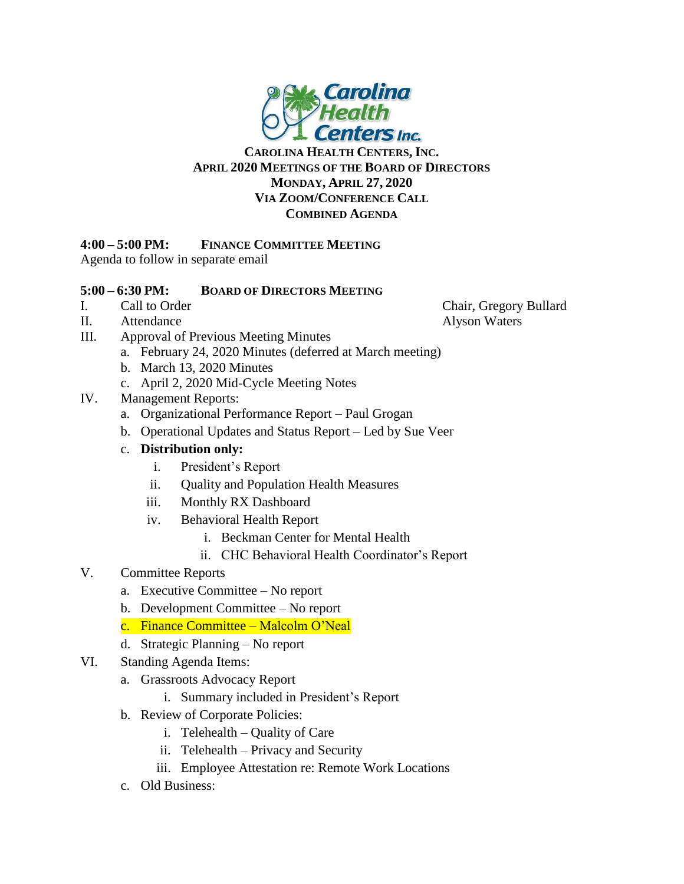

## **CAROLINA HEALTH CENTERS, INC. APRIL 2020 MEETINGS OF THE BOARD OF DIRECTORS MONDAY, APRIL 27, 2020 VIA ZOOM/CONFERENCE CALL COMBINED AGENDA**

## **4:00 – 5:00 PM: FINANCE COMMITTEE MEETING**

Agenda to follow in separate email

## **5:00 – 6:30 PM: BOARD OF DIRECTORS MEETING**

- 
- II. Attendance Alyson Waters
- III. Approval of Previous Meeting Minutes
	- a. February 24, 2020 Minutes (deferred at March meeting)
	- b. March 13, 2020 Minutes
		- c. April 2, 2020 Mid-Cycle Meeting Notes
- IV. Management Reports:
	- a. Organizational Performance Report Paul Grogan
	- b. Operational Updates and Status Report Led by Sue Veer
	- c. **Distribution only:**
		- i. President's Report
		- ii. Quality and Population Health Measures
		- iii. Monthly RX Dashboard
		- iv. Behavioral Health Report
			- i. Beckman Center for Mental Health
			- ii. CHC Behavioral Health Coordinator's Report

## V. Committee Reports

- a. Executive Committee No report
- b. Development Committee No report
- c. Finance Committee Malcolm O'Neal
- d. Strategic Planning No report
- VI. Standing Agenda Items:
	- a. Grassroots Advocacy Report
		- i. Summary included in President's Report
	- b. Review of Corporate Policies:
		- i. Telehealth Quality of Care
		- ii. Telehealth Privacy and Security
		- iii. Employee Attestation re: Remote Work Locations
	- c. Old Business:

I. Call to Order Chair, Gregory Bullard